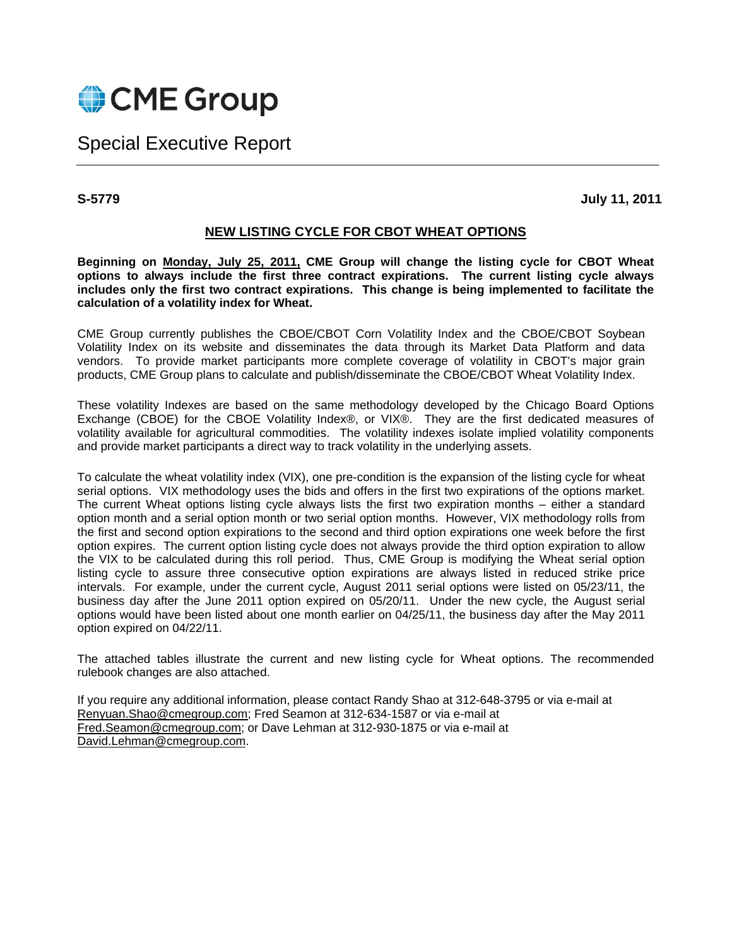

Special Executive Report

**S-5779 July 11, 2011** 

## **NEW LISTING CYCLE FOR CBOT WHEAT OPTIONS**

**Beginning on Monday, July 25, 2011, CME Group will change the listing cycle for CBOT Wheat options to always include the first three contract expirations. The current listing cycle always includes only the first two contract expirations. This change is being implemented to facilitate the calculation of a volatility index for Wheat.** 

CME Group currently publishes the CBOE/CBOT Corn Volatility Index and the CBOE/CBOT Soybean Volatility Index on its website and disseminates the data through its Market Data Platform and data vendors. To provide market participants more complete coverage of volatility in CBOT's major grain products, CME Group plans to calculate and publish/disseminate the CBOE/CBOT Wheat Volatility Index.

These volatility Indexes are based on the same methodology developed by the Chicago Board Options Exchange (CBOE) for the CBOE Volatility Index®, or VIX®. They are the first dedicated measures of volatility available for agricultural commodities. The volatility indexes isolate implied volatility components and provide market participants a direct way to track volatility in the underlying assets.

To calculate the wheat volatility index (VIX), one pre-condition is the expansion of the listing cycle for wheat serial options. VIX methodology uses the bids and offers in the first two expirations of the options market. The current Wheat options listing cycle always lists the first two expiration months – either a standard option month and a serial option month or two serial option months. However, VIX methodology rolls from the first and second option expirations to the second and third option expirations one week before the first option expires. The current option listing cycle does not always provide the third option expiration to allow the VIX to be calculated during this roll period. Thus, CME Group is modifying the Wheat serial option listing cycle to assure three consecutive option expirations are always listed in reduced strike price intervals. For example, under the current cycle, August 2011 serial options were listed on 05/23/11, the business day after the June 2011 option expired on 05/20/11. Under the new cycle, the August serial options would have been listed about one month earlier on 04/25/11, the business day after the May 2011 option expired on 04/22/11.

The attached tables illustrate the current and new listing cycle for Wheat options. The recommended rulebook changes are also attached.

If you require any additional information, please contact Randy Shao at 312-648-3795 or via e-mail at Renyuan.Shao@cmegroup.com; Fred Seamon at 312-634-1587 or via e-mail at Fred.Seamon@cmegroup.com; or Dave Lehman at 312-930-1875 or via e-mail at David.Lehman@cmegroup.com.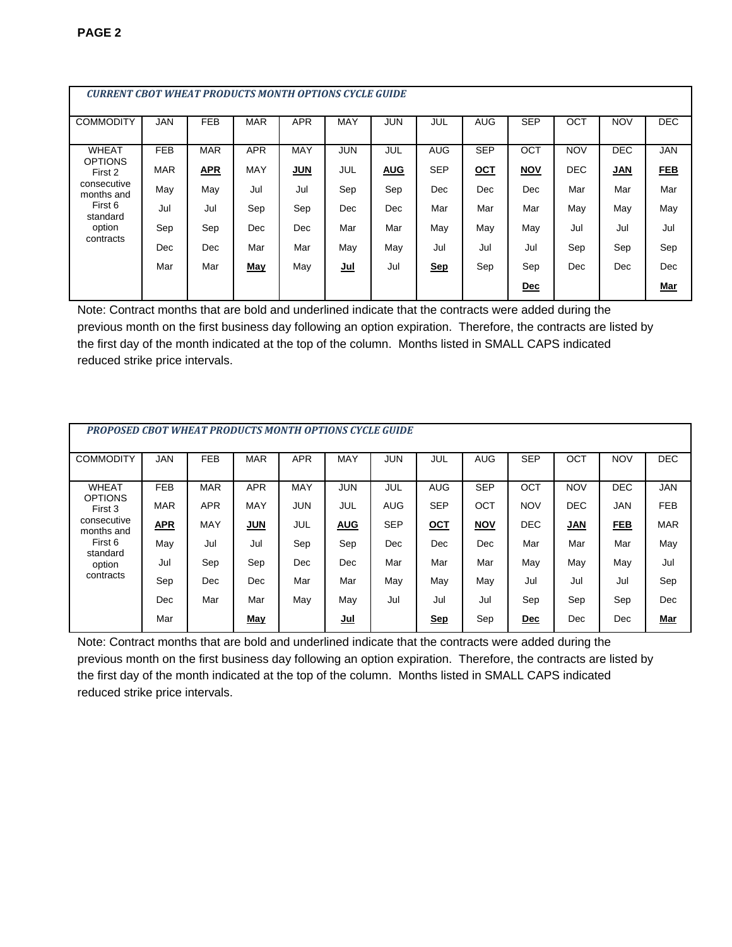| <b>CURRENT CBOT WHEAT PRODUCTS MONTH OPTIONS CYCLE GUIDE</b> |            |            |            |            |            |            |            |            |            |            |            |            |
|--------------------------------------------------------------|------------|------------|------------|------------|------------|------------|------------|------------|------------|------------|------------|------------|
| <b>COMMODITY</b>                                             | <b>JAN</b> | <b>FEB</b> | <b>MAR</b> | <b>APR</b> | <b>MAY</b> | <b>JUN</b> | JUL        | <b>AUG</b> | <b>SEP</b> | OCT        | <b>NOV</b> | <b>DEC</b> |
| <b>WHEAT</b><br><b>OPTIONS</b>                               | <b>FEB</b> | <b>MAR</b> | <b>APR</b> | MAY        | <b>JUN</b> | JUL        | <b>AUG</b> | <b>SEP</b> | OCT        | <b>NOV</b> | <b>DEC</b> | <b>JAN</b> |
| First 2                                                      | <b>MAR</b> | <b>APR</b> | <b>MAY</b> | <b>JUN</b> | JUL        | <b>AUG</b> | <b>SEP</b> | <u>OCT</u> | <b>NOV</b> | <b>DEC</b> | <b>JAN</b> | <b>FEB</b> |
| consecutive<br>months and                                    | May        | May        | Jul        | Jul        | Sep        | Sep        | Dec        | Dec        | <b>Dec</b> | Mar        | Mar        | Mar        |
| First 6<br>standard                                          | Jul        | Jul        | Sep        | Sep        | Dec        | Dec        | Mar        | Mar        | Mar        | May        | May        | May        |
| option<br>contracts                                          | Sep        | Sep        | <b>Dec</b> | Dec        | Mar        | Mar        | May        | May        | May        | Jul        | Jul        | Jul        |
|                                                              | Dec        | Dec        | Mar        | Mar        | May        | May        | Jul        | Jul        | Jul        | Sep        | Sep        | Sep        |
|                                                              | Mar        | Mar        | May        | May        | <u>Jul</u> | Jul        | <b>Sep</b> | Sep        | Sep        | Dec        | Dec        | Dec        |
|                                                              |            |            |            |            |            |            |            |            | Dec        |            |            | <b>Mar</b> |

Note: Contract months that are bold and underlined indicate that the contracts were added during the previous month on the first business day following an option expiration. Therefore, the contracts are listed by the first day of the month indicated at the top of the column. Months listed in SMALL CAPS indicated reduced strike price intervals.

| <b>PROPOSED CBOT WHEAT PRODUCTS MONTH OPTIONS CYCLE GUIDE</b>                                                        |            |            |            |            |            |            |            |            |            |            |            |            |
|----------------------------------------------------------------------------------------------------------------------|------------|------------|------------|------------|------------|------------|------------|------------|------------|------------|------------|------------|
| <b>COMMODITY</b>                                                                                                     | <b>JAN</b> | <b>FEB</b> | <b>MAR</b> | <b>APR</b> | <b>MAY</b> | <b>JUN</b> | JUL        | <b>AUG</b> | <b>SEP</b> | OCT        | <b>NOV</b> | <b>DEC</b> |
| <b>WHEAT</b><br><b>OPTIONS</b><br>First 3<br>consecutive<br>months and<br>First 6<br>standard<br>option<br>contracts | <b>FEB</b> | <b>MAR</b> | <b>APR</b> | <b>MAY</b> | <b>JUN</b> | JUL        | <b>AUG</b> | <b>SEP</b> | <b>OCT</b> | <b>NOV</b> | <b>DEC</b> | <b>JAN</b> |
|                                                                                                                      | <b>MAR</b> | <b>APR</b> | <b>MAY</b> | <b>JUN</b> | JUL        | <b>AUG</b> | <b>SEP</b> | OCT        | <b>NOV</b> | <b>DEC</b> | <b>JAN</b> | <b>FEB</b> |
|                                                                                                                      | <b>APR</b> | MAY        | <b>JUN</b> | JUL        | <b>AUG</b> | <b>SEP</b> | <u>OCT</u> | <b>NOV</b> | <b>DEC</b> | <b>JAN</b> | <b>FEB</b> | <b>MAR</b> |
|                                                                                                                      | May        | Jul        | Jul        | Sep        | Sep        | Dec        | Dec        | Dec        | Mar        | Mar        | Mar        | May        |
|                                                                                                                      | Jul        | Sep        | Sep        | <b>Dec</b> | <b>Dec</b> | Mar        | Mar        | Mar        | May        | May        | May        | Jul        |
|                                                                                                                      | Sep        | Dec        | Dec        | Mar        | Mar        | May        | May        | May        | Jul        | Jul        | Jul        | Sep        |
|                                                                                                                      | Dec        | Mar        | Mar        | May        | May        | Jul        | Jul        | Jul        | Sep        | Sep        | Sep        | Dec        |
|                                                                                                                      | Mar        |            | May        |            | <u>Jul</u> |            | <u>Sep</u> | Sep        | <u>Dec</u> | Dec        | Dec        | <u>Mar</u> |

Note: Contract months that are bold and underlined indicate that the contracts were added during the previous month on the first business day following an option expiration. Therefore, the contracts are listed by the first day of the month indicated at the top of the column. Months listed in SMALL CAPS indicated reduced strike price intervals.